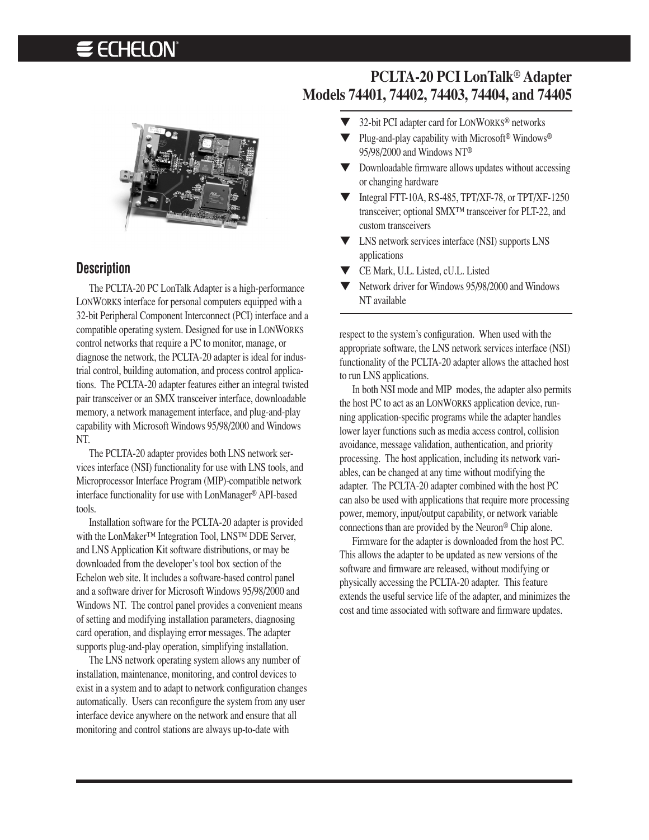# **E ECHELON**



#### **Description**

The PCLTA-20 PC LonTalk Adapter is a high-performance LONWORKS interface for personal computers equipped with a 32-bit Peripheral Component Interconnect (PCI) interface and a compatible operating system. Designed for use in LONWORKS control networks that require a PC to monitor, manage, or diagnose the network, the PCLTA-20 adapter is ideal for industrial control, building automation, and process control applications. The PCLTA-20 adapter features either an integral twisted pair transceiver or an SMX transceiver interface, downloadable memory, a network management interface, and plug-and-play capability with Microsoft Windows 95/98/2000 and Windows NT.

The PCLTA-20 adapter provides both LNS network services interface (NSI) functionality for use with LNS tools, and Microprocessor Interface Program (MIP)-compatible network interface functionality for use with LonManager® API-based tools.

Installation software for the PCLTA-20 adapter is provided with the LonMaker™ Integration Tool, LNS™ DDE Server, and LNS Application Kit software distributions, or may be downloaded from the developer's tool box section of the Echelon web site. It includes a software-based control panel and a software driver for Microsoft Windows 95/98/2000 and Windows NT. The control panel provides a convenient means of setting and modifying installation parameters, diagnosing card operation, and displaying error messages. The adapter supports plug-and-play operation, simplifying installation.

The LNS network operating system allows any number of installation, maintenance, monitoring, and control devices to exist in a system and to adapt to network configuration changes automatically. Users can reconfigure the system from any user interface device anywhere on the network and ensure that all monitoring and control stations are always up-to-date with

# **PCLTA-20 PCI LonTalk**® **Adapter Models 74401, 74402, 74403, 74404, and 74405**

- ▼ 32-bit PCI adapter card for LONWORKS® networks
- Plug-and-play capability with Microsoft<sup>®</sup> Windows<sup>®</sup> 95/98/2000 and Windows NT®
- ▼ Downloadable firmware allows updates without accessing or changing hardware
- Integral FTT-10A, RS-485, TPT/XF-78, or TPT/XF-1250 transceiver; optional SMX™ transceiver for PLT-22, and custom transceivers
- ▼ LNS network services interface (NSI) supports LNS applications
- ▼ CE Mark, U.L. Listed, cU.L. Listed
- ▼ Network driver for Windows 95/98/2000 and Windows NT available

respect to the system's configuration. When used with the appropriate software, the LNS network services interface (NSI) functionality of the PCLTA-20 adapter allows the attached host to run LNS applications.

In both NSI mode and MIP modes, the adapter also permits the host PC to act as an LONWORKS application device, running application-specific programs while the adapter handles lower layer functions such as media access control, collision avoidance, message validation, authentication, and priority processing. The host application, including its network variables, can be changed at any time without modifying the adapter. The PCLTA-20 adapter combined with the host PC can also be used with applications that require more processing power, memory, input/output capability, or network variable connections than are provided by the Neuron® Chip alone.

Firmware for the adapter is downloaded from the host PC. This allows the adapter to be updated as new versions of the software and firmware are released, without modifying or physically accessing the PCLTA-20 adapter. This feature extends the useful service life of the adapter, and minimizes the cost and time associated with software and firmware updates.